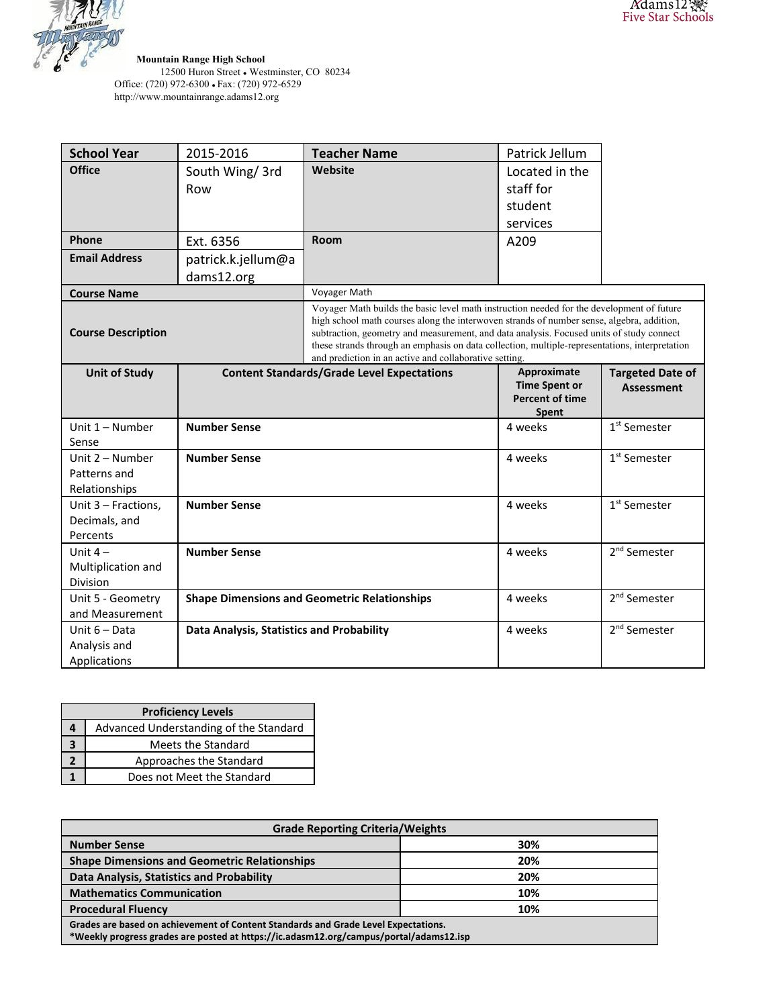

**Mountain Range High School**

12500 Huron Street • Westminster, CO 80234 Office: (720) 972-6300 • Fax: (720) 972-6529 http://www.mountainrange.adams12.org

| <b>School Year</b>                                 | 2015-2016                                           | <b>Teacher Name</b>                                                                                                                                                                                                                                                                                                                                                                                                                            | Patrick Jellum                                                         |                                              |
|----------------------------------------------------|-----------------------------------------------------|------------------------------------------------------------------------------------------------------------------------------------------------------------------------------------------------------------------------------------------------------------------------------------------------------------------------------------------------------------------------------------------------------------------------------------------------|------------------------------------------------------------------------|----------------------------------------------|
| <b>Office</b>                                      | South Wing/ 3rd                                     | Website                                                                                                                                                                                                                                                                                                                                                                                                                                        | Located in the                                                         |                                              |
|                                                    | Row                                                 |                                                                                                                                                                                                                                                                                                                                                                                                                                                | staff for                                                              |                                              |
|                                                    |                                                     |                                                                                                                                                                                                                                                                                                                                                                                                                                                | student                                                                |                                              |
|                                                    |                                                     |                                                                                                                                                                                                                                                                                                                                                                                                                                                | services                                                               |                                              |
| Phone                                              | Ext. 6356                                           | <b>Room</b>                                                                                                                                                                                                                                                                                                                                                                                                                                    | A209                                                                   |                                              |
| <b>Email Address</b>                               | patrick.k.jellum@a                                  |                                                                                                                                                                                                                                                                                                                                                                                                                                                |                                                                        |                                              |
|                                                    | dams12.org                                          |                                                                                                                                                                                                                                                                                                                                                                                                                                                |                                                                        |                                              |
| <b>Course Name</b>                                 |                                                     | Voyager Math                                                                                                                                                                                                                                                                                                                                                                                                                                   |                                                                        |                                              |
| <b>Course Description</b>                          |                                                     | Voyager Math builds the basic level math instruction needed for the development of future<br>high school math courses along the interwoven strands of number sense, algebra, addition,<br>subtraction, geometry and measurement, and data analysis. Focused units of study connect<br>these strands through an emphasis on data collection, multiple-representations, interpretation<br>and prediction in an active and collaborative setting. |                                                                        |                                              |
| <b>Unit of Study</b>                               | <b>Content Standards/Grade Level Expectations</b>   |                                                                                                                                                                                                                                                                                                                                                                                                                                                | Approximate<br><b>Time Spent or</b><br><b>Percent of time</b><br>Spent | <b>Targeted Date of</b><br><b>Assessment</b> |
| Unit 1 - Number<br>Sense                           | <b>Number Sense</b>                                 |                                                                                                                                                                                                                                                                                                                                                                                                                                                | 4 weeks                                                                | 1 <sup>st</sup> Semester                     |
| Unit 2 - Number<br>Patterns and<br>Relationships   | <b>Number Sense</b>                                 |                                                                                                                                                                                                                                                                                                                                                                                                                                                | 4 weeks                                                                | $1st$ Semester                               |
| Unit 3 - Fractions,<br>Decimals, and<br>Percents   | <b>Number Sense</b>                                 |                                                                                                                                                                                                                                                                                                                                                                                                                                                | 4 weeks                                                                | $1st$ Semester                               |
| Unit $4-$<br>Multiplication and<br><b>Division</b> | <b>Number Sense</b>                                 |                                                                                                                                                                                                                                                                                                                                                                                                                                                | 4 weeks                                                                | 2 <sup>nd</sup> Semester                     |
| Unit 5 - Geometry<br>and Measurement               | <b>Shape Dimensions and Geometric Relationships</b> |                                                                                                                                                                                                                                                                                                                                                                                                                                                | 4 weeks                                                                | 2 <sup>nd</sup> Semester                     |
| Unit $6 - Data$                                    |                                                     |                                                                                                                                                                                                                                                                                                                                                                                                                                                |                                                                        |                                              |

| <b>Proficiency Levels</b> |                                        |  |  |
|---------------------------|----------------------------------------|--|--|
|                           | Advanced Understanding of the Standard |  |  |
|                           | Meets the Standard                     |  |  |
|                           | Approaches the Standard                |  |  |
|                           | Does not Meet the Standard             |  |  |

| <b>Grade Reporting Criteria/Weights</b>                                                                                                                                      |     |  |  |
|------------------------------------------------------------------------------------------------------------------------------------------------------------------------------|-----|--|--|
| <b>Number Sense</b>                                                                                                                                                          | 30% |  |  |
| <b>Shape Dimensions and Geometric Relationships</b>                                                                                                                          | 20% |  |  |
| Data Analysis, Statistics and Probability                                                                                                                                    | 20% |  |  |
| <b>Mathematics Communication</b>                                                                                                                                             | 10% |  |  |
| <b>Procedural Fluency</b>                                                                                                                                                    | 10% |  |  |
| Grades are based on achievement of Content Standards and Grade Level Expectations.<br>*Weekly progress grades are posted at https://ic.adasm12.org/campus/portal/adams12.isp |     |  |  |